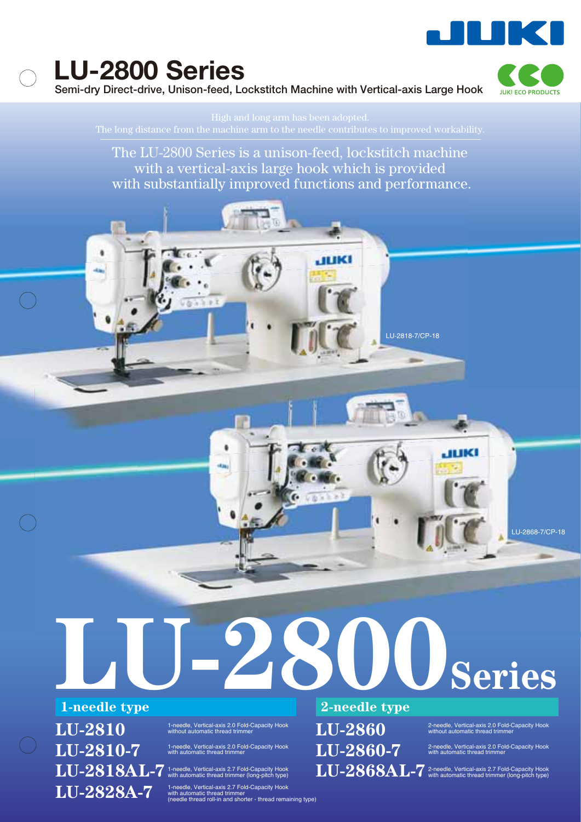

**Semi-dry Direct-drive, Unison-feed, Lockstitch Machine with Vertical-axis Large Hook** 



The LU-2800 Series is a unison-feed, lockstitch machine with a vertical-axis large hook which is provided with substantially improved functions and performance.

**LU-2800Series**

 $\mathbf{L}\mathbf{U}\text{-} \mathbf{2810} \qquad \qquad ^{\text{1-needle, Vertical-axis 2.0 Fold-Capacity Hook with out on$  $LU-2810-7$  1-needle, Vertical-axis 2.0 Fold-Capacity Hook with automatic thread trimmer

 ${\bf LU}\text{-}2818\text{\AA}$   ${\bf L}\text{-}7$  t-needle, Vertical-axis 2.7 Fold-Capacity Hook  ${\bf v}$ 

LU-2828A-7 1-needle, Vertical-axis 2.7 Fold-Capacity Hook<br>
(needle thread trimmer mathoratic thread trimmer thread remaining type)

### **1-needle type 2-needle type**

LU-2818-7/CP-18

LU-2860-7 <sup>2-needle, Vertical-axis 2.0 Fold-Capacity Hook<br>with automatic thread trimmer</sup>

LU-2860 <sup>2-needle, Vertical-axis 2.0 Fold-Capacity Hook<br>without automatic thread trimmer</sup>

LU-2868-7/CP-18

LU-2868AL-7<sup>2-needle, Vertical-axis 2.7 Fold-Capacity Hook<br>with automatic thread trimmer (long-pitch type)</sup>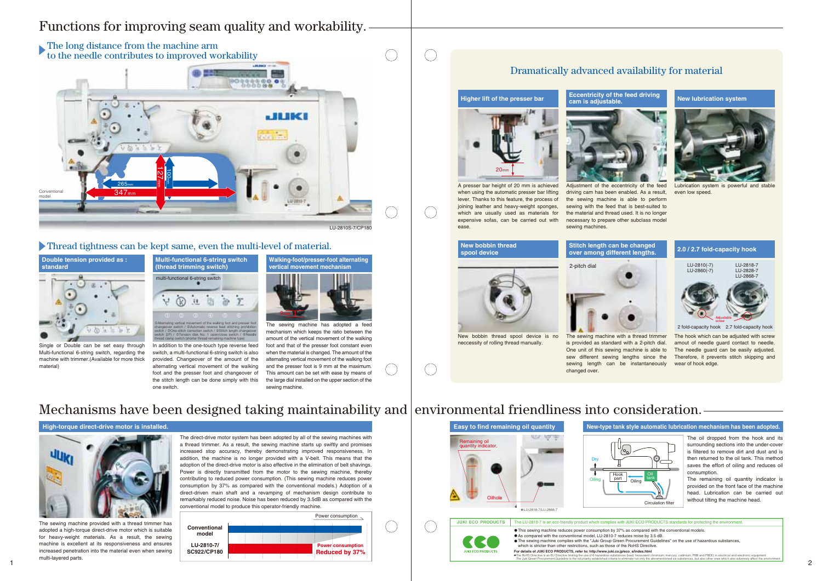

The sewing machine provided with a thread trimmer has adopted a high-torque direct-drive motor which is suitable for heavy-weight materials. As a result, the sewing machine is excellent at its responsiveness and ensures increased penetration into the material even when sewing multi-layered parts.

The direct-drive motor system has been adopted by all of the sewing machines with a thread trimmer. As a result, the sewing machine starts up swiftly and promises increased stop accuracy, thereby demonstrating improved responsiveness. In addition, the machine is no longer provided with a V-belt. This means that the adoption of the direct-drive motor is also effective in the elimination of belt shavings. Power is directly transmitted from the motor to the sewing machine, thereby contributing to reduced power consumption. (This sewing machine reduces power consumption by 37% as compared with the conventional models.) Adoption of a direct-driven main shaft and a revamping of mechanism design contribute to remarkably reduced noise. Noise has been reduced by 3.5dB as compared with the conventional model to produce this operator-friendly machine.

The hook which can be adjusted with screw amout of needle guard contact to needle. The needle guard can be easily adjusted. Therefore, it prevents stitch skipping and wear of hook edge.

is provided as standard with a 2-pitch dial. One unit of this sewing machine is able to sew different sewing lengths since the sewing length can be instantaneously changed over.

The oil dropped from the hook and its surrounding sections into the under-cover is filtered to remove dirt and dust and is then returned to the oil tank. This method saves the effort of oiling and reduces oil consumption.

The remaining oil quantity indicator is provided on the front face of the machine head. Lubrication can be carried out without tilting the machine head.

- 
- 



A presser bar height of 20 mm is achieved when using the automatic presser bar lifting lever. Thanks to this feature, the process of joining leather and heavy-weight sponges, which are usually used as materials for expensive sofas, can be carried out with ease.

#### **Higher lift of the presser bar**



Lubrication system is powerful and stable even low speed.

#### **New lubrication system**

Adjustment of the eccentricity of the feed driving cam has been enabled. As a result, the sewing machine is able to perform sewing with the feed that is best-suited to the material and thread used. It is no longer necessary to prepare other subclass model

sewing machines.

#### **Eccentricity of the feed driving**



# **New bobbin thread**





New bobbin thread spool device is no neccessity of rolling thread manually.



The sewing machine with a thread trimmer



2-pitch dial

2 fold-capacity hook 2.7 fold-capacity hook





## Dramatically advanced availability for material

# Functions for improving seam quality and workability.





Single or Double can be set easy through Multi-functional 6-string switch, regarding the machine with trimmer.(Available for more thick material)

In addition to the one-touch type reverse feed switch, a multi-functional 6-string switch is also provided. Changeover of the amount of the foot and the presser foot and changeover of the stitch length can be done simply with this one switch.



alternating vertical movement of the walking and the presser foot is 9 mm at the maximum. The sewing machine has adopted a feed mechanism which keens the ratio between the amount of the vertical movement of the walking foot and that of the presser foot constant even when the material is changed. The amount of the alternating vertical movement of the walking foot This amount can be set with ease by means of the large dial installed on the upper section of the sewing machine.

# Mechanisms have been designed taking maintainability and environmental friendliness into consideration.

## Thread tightness can be kept same, even the multi-level of material.

The RoHS Directive is an EU Directive limiting the use of 6 hazardous substances (lead, hexavalent chromium, mercury, cadmium, PBB and PBDE) in electrical and electronic equipment.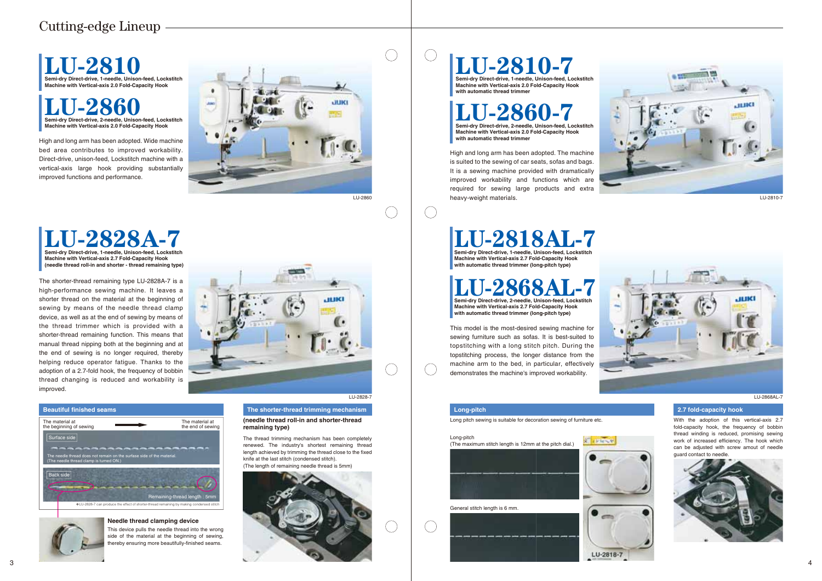

#### **Beautiful finished seams The shorter-thread trimming mechanism**

**(needle thread roll-in and shorter-thread remaining type)**

#### **Long-pitch 2.7 fold-capacity hook**



High and long arm has been adopted. Wide machine bed area contributes to improved workability. Direct-drive, unison-feed, Lockstitch machine with a vertical-axis large hook providing substantially improved functions and performance.

The shorter-thread remaining type LU-2828A-7 is a high-performance sewing machine. It leaves a shorter thread on the material at the beginning of sewing by means of the needle thread clamp device, as well as at the end of sewing by means of the thread trimmer which is provided with a shorter-thread remaining function. This means that manual thread nipping both at the beginning and at the end of sewing is no longer required, thereby helping reduce operator fatigue. Thanks to the adoption of a 2.7-fold hook, the frequency of bobbin thread changing is reduced and workability is improved.



# **LU-2810 Semi-dry Direct-drive, 1-needle, Unison-feed, Lockstitch Machine with Vertical-axis 2.0 Fold-Capacity Hook**

With the adoption of this vertical-axis 2.7 fold-capacity hook, the frequency of bobbin thread winding is reduced, promising sewing work of increased efficiency. The hook which can be adjusted with screw amout of needle guard contact to needle.



Long pitch sewing is suitable for decoration sewing of furniture etc.

High and long arm has been adopted. The machine is suited to the sewing of car seats, sofas and bags. It is a sewing machine provided with dramatically improved workability and functions which are required for sewing large products and extra heavy-weight materials.

**L-286 Semi-dry Direct-drive, 2-needle, Unison-feed, Lockstitch Machine with Vertical-axis 2.0 Fold-Capacity Hook with automatic thread trimmer**

This model is the most-desired sewing machine for sewing furniture such as sofas. It is best-suited to topstitching with a long stitch pitch. During the topstitching process, the longer distance from the machine arm to the bed, in particular, effectively demonstrates the machine's improved workability.

LU-2868AL-7



# $LU-2818-7$

LU-2828-7

 $\begin{pmatrix} 1 \\ 1 \end{pmatrix}$ 

LU-2810-7



This device pulls the needle thread into the wrong side of the material at the beginning of sewing, thereby ensuring more beautifully-finished seams.

#### **Needle thread clamping device**

The thread trimming mechanism has been completely renewed. The industry's shortest remaining thread length achieved by trimming the thread close to the fixed knife at the last stitch (condensed stitch). (The length of remaining needle thread is 5mm)

# Cutting-edge Lineup



# **LU-2818AL-7 Semi-dry Direct-drive, 1-needle, Unison-feed, Lockstitch**

**Machine with Vertical-axis 2.7 Fold-Capacity Hook with automatic thread trimmer (long-pitch type)**



**LU-2868AL-7 Semi-dry Direct-drive, 2-needle, Unison-feed, Lockstitch** 

**Machine with Vertical-axis 2.7 Fold-Capacity Hook with automatic thread trimmer (long-pitch type)**

## **LU-2860 Semi-dry Direct-drive, 2-needle, Unison-feed, Lockstitch Machine with Vertical-axis 2.0 Fold-Capacity Hook**

# **LU-2810-7 Semi-dry Direct-drive, 1-needle, Unison-feed, Lockstitch**

**Machine with Vertical-axis 2.0 Fold-Capacity Hook with automatic thread trimmer**

#### Long-pitch



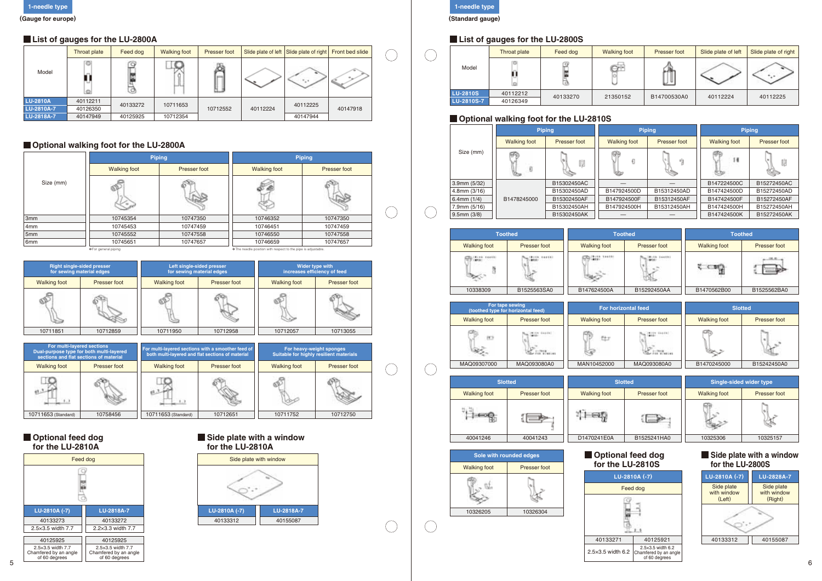**1-needle type (Standard gauge)**

 $(\quad)$ 

 $(\ )$ 

 $\bigcup$ 

 $\bigcirc$ 

 $\bigcirc$ 

 $\bigcirc$ 

 $\bigcirc$ 

## **List of gauges for the LU-2800S**

## **Optional walking foot for the LU-2810S**

## **List of gauges for the LU-2800A**

## **Optional walking foot for the LU-2800A**

#### **Optional feed dog for the LU-2810A**



#### **Side plate with a window for the LU-2810A**







| zontal feed  | <b>Slotted</b>      |              |  |  |  |  |
|--------------|---------------------|--------------|--|--|--|--|
| Presser foot | <b>Walking foot</b> | Presser foot |  |  |  |  |
|              |                     |              |  |  |  |  |
| MAQ093080A0  | B1470245000         | B15242450A0  |  |  |  |  |

| otted        | <b>Single-sided wider type</b> |              |  |  |  |  |
|--------------|--------------------------------|--------------|--|--|--|--|
| Presser foot | <b>Walking foot</b>            | Presser foot |  |  |  |  |
|              |                                |              |  |  |  |  |
| B1525241HA0  | 10325306                       | 10325157     |  |  |  |  |

|                   | -                   |               |  |                     |               |                     |              |  |
|-------------------|---------------------|---------------|--|---------------------|---------------|---------------------|--------------|--|
|                   |                     | <b>Piping</b> |  |                     | <b>Piping</b> | <b>Piping</b>       |              |  |
|                   | <b>Walking foot</b> | Presser foot  |  | <b>Walking foot</b> | Presser foot  | <b>Walking foot</b> | Presser foot |  |
| Size (mm)         |                     | 19            |  |                     |               | Ħ                   |              |  |
| 3.9mm(5/32)       |                     | B15302450AC   |  |                     |               | B147224500C         | B15272450AC  |  |
| $4.8$ mm $(3/16)$ |                     | B15302450AD   |  | B147924500D         | B15312450AD   | B147424500D         | B15272450AD  |  |
| 6.4mm $(1/4)$     | B1478245000         | B15302450AF   |  | B147924500F         | B15312450AF   | B147424500F         | B15272450AF  |  |
| 7.9mm (5/16)      |                     | B15302450AH   |  |                     | B15312450AH   | B147424500H         | B15272450AH  |  |
| 9.5mm(3/8)        |                     | B15302450AK   |  |                     |               | B147424500K         | B15272450AK  |  |

|                 | Throat plate | Feed dog | <b>Walking foot</b> | Presser foot |          | Slide plate of left Slide plate of right Front bed slide |          |  |
|-----------------|--------------|----------|---------------------|--------------|----------|----------------------------------------------------------|----------|--|
| Model           | <b>State</b> | ø        | لسنة السن           | scost        |          |                                                          |          |  |
| <b>LU-2810A</b> | 40112211     | 40133272 | 10711653            |              |          | 40112225                                                 |          |  |
| LU-2810A-7      | 40126350     |          |                     | 10712552     | 40112224 |                                                          | 40147918 |  |
| LU-2818A-7      | 40147949     | 40125925 | 10712354            |              |          | 40147944                                                 |          |  |

|                 | <b>Piping</b>       |              | <b>Piping</b>                                                 |              |  |  |
|-----------------|---------------------|--------------|---------------------------------------------------------------|--------------|--|--|
|                 | <b>Walking foot</b> | Presser foot | <b>Walking foot</b>                                           | Presser foot |  |  |
| Size (mm)       |                     |              |                                                               |              |  |  |
| 3 <sub>mm</sub> | 10745354            | 10747350     | 10746352                                                      | 10747350     |  |  |
| 4 <sub>mm</sub> | 10745453            | 10747459     | 10746451                                                      | 10747459     |  |  |
| 5 <sub>mm</sub> | 10745552            | 10747558     | 10746550                                                      | 10747558     |  |  |
| 6mm             | 10745651            | 10747657     | 10746659                                                      | 10747657     |  |  |
|                 | *For general piping |              | * The needle position with respect to the pipe is adjustable. |              |  |  |

|                     | <b>Right single-sided presser</b><br>for sewing material edges |                     | Left single-sided presser<br>for sewing material edges | Wider type with<br>increases efficiency of feed |              |  |  |
|---------------------|----------------------------------------------------------------|---------------------|--------------------------------------------------------|-------------------------------------------------|--------------|--|--|
| <b>Walking foot</b> | Presser foot                                                   | <b>Walking foot</b> | Presser foot                                           | <b>Walking foot</b>                             | Presser foot |  |  |
|                     |                                                                |                     |                                                        |                                                 |              |  |  |
| 10711851            | 10712859                                                       | 10711950            | 10712958                                               | 10712057                                        | 10713055     |  |  |



|                 | Throat plate | Feed dog | <b>Walking foot</b> | Presser foot | Slide plate of left | Slide plate of right |
|-----------------|--------------|----------|---------------------|--------------|---------------------|----------------------|
| Model           |              |          |                     |              |                     |                      |
| <b>LU-2810S</b> | 40112212     | 40133270 | 21350152            | B14700530A0  | 40112224            | 40112225             |
| LU-2810S-7      | 40126349     |          |                     |              |                     |                      |

| For multi-layered sections | Dual-purpose type for both multi-layered<br>sections and flat sections of material |                     | For multi-layered sections with a smoother feed of<br>both multi-layered and flat sections of material | For heavy-weight sponges<br>Suitable for highly resilient materials |              |  |  |
|----------------------------|------------------------------------------------------------------------------------|---------------------|--------------------------------------------------------------------------------------------------------|---------------------------------------------------------------------|--------------|--|--|
| <b>Walking foot</b>        | Presser foot                                                                       | <b>Walking foot</b> | Presser foot                                                                                           | <b>Walking foot</b>                                                 | Presser foot |  |  |
|                            |                                                                                    |                     |                                                                                                        |                                                                     |              |  |  |
| 10711653 (Standard)        | 10758456                                                                           | 10711653 (Standard) | 10712651                                                                                               | 10711752                                                            | 10712750     |  |  |

|                     | <b>Toothed</b> |                     | <b>Toothed</b> |                     | <b>Toothed</b> |  |  |
|---------------------|----------------|---------------------|----------------|---------------------|----------------|--|--|
| <b>Walking foot</b> | Presser foot   | <b>Walking foot</b> | Presser foot   | <b>Walking foot</b> | Presser foot   |  |  |
|                     |                |                     |                |                     |                |  |  |
| 10338309            | B1525563SA0    | B147624500A         | B15292450AA    | B1470562B00         | B1525562BA0    |  |  |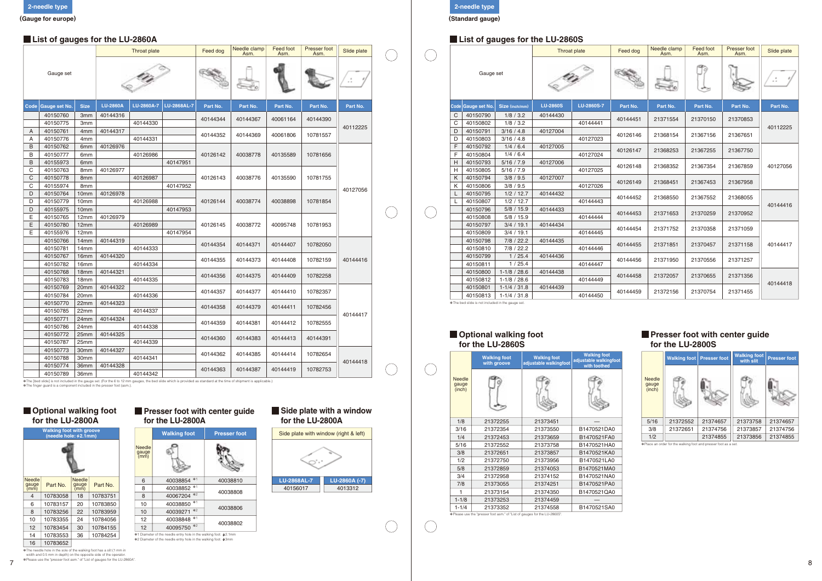|                   |                      |                                      |                 | <b>Throat plate</b> |             | Feed dog | Needle clamp<br>Asm. | Feed foot<br>Asm. | Presser foot<br>Asm. | Slide plate |  |                                                      |                                    |                                             | <b>Throat plate</b>                       | Feed dog | Needle clamp<br>Asm. | <b>Feed foot</b><br>Asm.         | Presser foot<br>Asm.                  | Slide plat       |   |    |
|-------------------|----------------------|--------------------------------------|-----------------|---------------------|-------------|----------|----------------------|-------------------|----------------------|-------------|--|------------------------------------------------------|------------------------------------|---------------------------------------------|-------------------------------------------|----------|----------------------|----------------------------------|---------------------------------------|------------------|---|----|
|                   | Gauge set            |                                      |                 |                     |             |          | ⊨÷,                  |                   |                      | $\sim$      |  | Gauge set                                            |                                    |                                             |                                           |          |                      |                                  |                                       | يرهى             | N | -1 |
|                   | Code Gauge set No.   | <b>Size</b>                          | <b>LU-2860A</b> | LU-2860A-7          | LU-2868AL-7 | Part No. | Part No.             | Part No.          | Part No.             | Part No.    |  | $\texttt{Code}$ Gauge set No. $\blacksquare$         | Size (inch/mm                      | <b>LU-2860S</b>                             | LU-2860S-7                                | Part No. | Part No.             | Part No.                         | Part No.                              | Part No.         |   |    |
|                   | 40150760<br>40150775 | 3 <sub>mm</sub><br>3 <sub>mm</sub>   | 40144316        | 40144330            |             | 40144344 | 40144367             | 40061164          | 40144390             |             |  | $\mathsf{C}$<br>40150790<br>$\mathsf{C}$<br>40150802 | 1/8 / 3.2<br>1/8 / 3.2             | 40144430                                    | 40144441                                  | 40144451 | 21371554             | 21370150                         | 21370853                              |                  |   |    |
|                   | 40150761             | 4 <sub>mm</sub>                      | 40144317        |                     |             | 40144352 | 40144369             | 40061806          | 10781557             | 40112225    |  | D.<br>40150791                                       | 3/16 / 4.8                         | 40127004                                    |                                           | 40126146 | 21368154             | 21367156                         | 21367651                              | 4011222          |   |    |
| A<br>B            | 40150776<br>40150762 | 4mm<br>6mm                           | 40126976        | 40144331            |             |          |                      |                   |                      |             |  | 40150803<br>D<br>F<br>40150792                       | 3/16 / 4.8<br>1/4 / 6.4            | 40127005                                    | 40127023                                  | 40126147 | 21368253             | 21367255                         | 21367750                              |                  |   |    |
| B                 | 40150777<br>40155973 | 6mm<br>6 <sub>mm</sub>               |                 | 40126986            | 40147951    | 40126142 | 40038778             | 40135589          | 10781656             |             |  | 40150804<br>40150793                                 | 1/4/6.4<br>5/16 / 7.9              | 40127006                                    | 40127024                                  |          |                      |                                  |                                       |                  |   |    |
| C                 | 40150763             | 8mm                                  | 40126977        |                     |             |          |                      |                   |                      |             |  | 40150805                                             | 5/16 / 7.9                         |                                             | 40127025                                  | 40126148 | 21368352             | 21367354                         | 21367859                              | 4012705          |   |    |
| $\mathsf{C}$<br>C | 40150778<br>40155974 | 8mm<br>8mm                           |                 | 40126987            | 40147952    | 40126143 | 40038776             | 40135590          | 10781755             | 40127056    |  | 40150794<br>K<br>40150806                            | 3/8 / 9.5<br>3/8 / 9.5             | 40127007                                    | 40127026                                  | 40126149 | 21368451             | 21367453                         | 21367958                              |                  |   |    |
| D<br>D            | 40150764<br>40150779 | 10mm<br>10 <sub>mm</sub>             | 40126978        | 40126988            |             | 40126144 | 40038774             | 40038898          | 10781854             |             |  | 40150795<br>40150807                                 | 1/2 / 12.7<br>1/2 / 12.7           | 40144432                                    | 40144443                                  | 40144452 | 21368550             | 21367552                         | 21368055                              |                  |   |    |
| D                 | 40155975<br>40150765 | 10mm<br>12mm                         | 40126979        |                     | 40147953    |          |                      |                   |                      |             |  | 40150796<br>40150808                                 | 5/8 / 15.9<br>5/8 / 15.9           | 40144433                                    | 40144444                                  | 40144453 | 21371653             | 21370259                         | 21370952                              | 4014441          |   |    |
| E                 | 40150780             | 12mm                                 |                 | 40126989            |             | 40126145 | 40038772             | 40095748          | 10781953             |             |  | 40150797                                             | 3/4 / 19.1                         | 40144434                                    |                                           | 40144454 | 21371752             | 21370358                         | 21371059                              |                  |   |    |
| E                 | 40155976<br>40150766 | 12mm<br>14mm                         | 40144319        |                     | 40147954    |          |                      |                   |                      |             |  | 40150809<br>40150798                                 | 3/4 / 19.1<br>7/8 / 22.2           | 40144435                                    | 40144445                                  |          |                      |                                  |                                       | 4014441          |   |    |
|                   | 40150781<br>40150767 | 14mm<br>16mm                         | 40144320        | 40144333            |             | 40144354 | 40144371             | 40144407          | 10782050             |             |  | 40150810<br>40150799                                 | 7/8 / 22.2<br>1/25.4               | 40144436                                    | 40144446                                  | 40144455 | 21371851             | 21370457                         | 21371158                              |                  |   |    |
|                   | 40150782             | 16mm                                 |                 | 40144334            |             | 40144355 | 40144373             | 40144408          | 10782159             | 40144416    |  | 40150811                                             | 1/25.4                             |                                             | 40144447                                  | 40144456 | 21371950             | 21370556                         | 21371257                              |                  |   |    |
|                   | 40150768<br>40150783 | 18 <sub>mm</sub><br>18 <sub>mm</sub> | 40144321        | 40144335            |             | 40144356 | 40144375             | 40144409          | 10782258             |             |  | 40150800<br>40150812                                 | $1-1/8/28.6$<br>$1-1/8 / 28.6$     | 40144438                                    | 40144449                                  | 40144458 | 21372057             | 21370655                         | 21371356                              | 4014441          |   |    |
|                   | 40150769<br>40150784 | 20mm<br>20mm                         | 40144322        | 40144336            |             | 40144357 | 40144377             | 40144410          | 10782357             |             |  | 40150801<br>40150813                                 | $1-1/4 / 31.8$<br>$1-1/4 / 31.8$   | 40144439                                    | 40144450                                  | 40144459 | 21372156             | 21370754                         | 21371455                              |                  |   |    |
|                   | 40150770<br>40150785 | 22mm<br>22mm                         | 40144323        | 40144337            |             | 40144358 | 40144379             | 40144411          | 10782456             |             |  | * The bed slide is not included in the gauge set     |                                    |                                             |                                           |          |                      |                                  |                                       |                  |   |    |
|                   | 40150771             | 24mm                                 | 40144324        |                     |             | 40144359 | 40144381             | 40144412          | 10782555             | 40144417    |  |                                                      |                                    |                                             |                                           |          |                      |                                  |                                       |                  |   |    |
|                   | 40150786<br>40150772 | 24mm<br>25mm                         | 40144325        | 40144338            |             | 40144360 | 40144383             | 40144413          | 40144391             |             |  | Optional walking foot                                |                                    |                                             |                                           |          |                      |                                  | <b>Presser foot with center guide</b> |                  |   |    |
|                   | 40150787<br>40150773 | 25mm<br>30mm                         | 40144327        | 40144339            |             |          |                      |                   |                      |             |  | for the LU-2860S                                     |                                    |                                             |                                           |          |                      | for the LU-2800S                 |                                       |                  |   |    |
|                   | 40150788             | 30 <sub>mm</sub>                     |                 | 40144341            |             | 40144362 | 40144385             | 40144414          | 10782654             | 40144418    |  |                                                      | <b>Walking foot</b><br>with groove | <b>Walking foot</b><br>djustable walkingfoo | <b>Walking foot</b><br>ustable walkingfoc |          |                      | <b>Walking foot Presser foot</b> | <b>Walking foot</b><br>with slit      | <b>Presser f</b> |   |    |
|                   | 40150774<br>40150789 | 36mm<br>36mm                         | 40144328        | 40144342            |             | 40144363 | 40144387             | 40144419          | 10782753             |             |  | Alhaall                                              | ÆÞ.                                | FO.                                         | with toothed<br>æ.                        |          | æ.<br><b>Alhaal</b>  |                                  | en.                                   |                  |   |    |
|                   |                      |                                      |                 |                     |             |          |                      |                   |                      |             |  |                                                      |                                    |                                             |                                           |          |                      |                                  |                                       |                  |   |    |

\* The [bed slide] is not included in the gauge set. (For the 6 to 12 mm gauges, the bed slide which is provided as standard at the time of shipment is applicable.)<br>\* The finger guard is a component included in the presser

#### **List of gauges for the LU-2860S** Throat plate **F**eed of the Clamp Refer  $(\quad)$ 家 1/8 / 3.2 40150790 C 1/8 / 3.2 40150802 C 3/16 / 4.8 40150791 D D 3/16 / 4.8 F 1/4 / 6.4  $\Delta($ F 1/4 / 6.4 H 5/16 / 7.9 H 5/16 / 7.9 3/8 / 9.5 K K 3/8 / 9.5 1/2 / 12.7  $\mathbf{L}$  1/2 / 12.7  $\perp$  5/8 / 15.9 5/8 / 15.9 3/4 / 19.1  $4($  3/4 / 19.1 7/8 / 22.2 7/8 / 22.2 1 / 25.4 1 / 25.4 1-1/8 / 28.6 1-1/8 / 28.6 1-1/4 / 31.8 1-1/4 / 31.8

#### **Presser foot with center guide for the LU-2800S**

#### **Presser foot with center guide for the LU-2800A**

| Feed dog | Needle clamp<br>Asm. | <b>Feed foot</b><br>Asm. | Presser foot<br>Asm. | Slide plate |
|----------|----------------------|--------------------------|----------------------|-------------|
|          |                      |                          |                      |             |
| Part No. | Part No.             | Part No.                 | Part No.             | Part No.    |
| 40144451 | 21371554             | 21370150                 | 21370853             | 40112225    |
| 40126146 | 21368154             | 21367156                 | 21367651             |             |
| 40126147 | 21368253             | 21367255                 | 21367750             |             |
| 40126148 | 21368352             | 21367354                 | 21367859             | 40127056    |
| 40126149 | 21368451             | 21367453                 | 21367958             |             |
| 40144452 | 21368550             | 21367552                 | 21368055             | 40144416    |
| 40144453 | 21371653             | 21370259                 | 21370952             |             |
| 40144454 | 21371752             | 21370358                 | 21371059             |             |
| 40144455 | 21371851             | 21370457                 | 21371158             | 40144417    |
| 40144456 | 21371950             | 21370556                 | 21371257             |             |
| 40144458 | 21372057             | 21370655                 | 21371356             | 40144418    |
| 40144459 | 21372156             | 21370754                 | 21371455             |             |



## **List of gauges for the LU-2860A**

**2-needle type (Standard gauge)**

#### **Optional walking foot for the LU-2800A**

#### **Optional walking foot for the LU-2860S**



#### **Side plate with a window for the LU-2800A**

| <b>Walking foot</b><br>stable walkingfoot | <b>Walking foot</b><br>adjustable walkingfoot<br>with toothed |                                  | <b>Walking foot</b> | <b>Presser foot</b> | <b>Walking foot</b><br>with slit | <b>Presser foot</b> |
|-------------------------------------------|---------------------------------------------------------------|----------------------------------|---------------------|---------------------|----------------------------------|---------------------|
|                                           |                                                               | <b>Needle</b><br>gauge<br>(inch) |                     |                     |                                  |                     |
| 21373451                                  |                                                               | 5/16                             | 21372552            | 21374657            | 21373758                         | 21374657            |
| 21373550                                  | B1470521DA0                                                   | 3/8                              | 21372651            | 21374756            | 21373857                         | 21374756            |
| 21373659                                  | B1470521FA0                                                   | 1/2                              |                     | 21374855            | 21373856                         | 21374855            |

**EXAMPLE 2018 THE VEHICLE AND THE VEHICLE SET FOOT AS A SET FOOT AS A SET FOOT AS A SET.** 

|                                  | <b>Walking foot</b><br>with groove | <b>Walking foot</b><br>adjustable walkingfoot | <b>Walking foot</b><br>adjustable walkingfoot<br>with toothed |  |  |
|----------------------------------|------------------------------------|-----------------------------------------------|---------------------------------------------------------------|--|--|
| <b>Needle</b><br>gauge<br>(inch) |                                    |                                               |                                                               |  |  |
| 1/8                              | 21372255                           | 21373451                                      |                                                               |  |  |
| 3/16                             | 21372354                           | 21373550                                      | B1470521DA0                                                   |  |  |
| 1/4                              | 21372453                           | 21373659                                      | B1470521FA0                                                   |  |  |
| 5/16                             | 21372552                           | 21373758                                      | B1470521HA0                                                   |  |  |
| 3/8                              | 21372651                           | 21373857                                      | B1470521KA0                                                   |  |  |
| 1/2                              | 21372750                           | 21373956                                      | B1470521LA0                                                   |  |  |
| 5/8                              | 21372859                           | 21374053                                      | B1470521MA0                                                   |  |  |
| 3/4                              | 21372958                           | 21374152                                      | B1470521NA0                                                   |  |  |
| 7/8                              | 21373055                           | 21374251                                      | B1470521PA0                                                   |  |  |
| 1                                | 21373154                           | 21374350                                      | B1470521QA0                                                   |  |  |
| $1 - 1/8$                        | 21373253                           | 21374459                                      |                                                               |  |  |
| $1 - 1/4$                        | 21373352                           | 21374558                                      | B1470521SA0                                                   |  |  |





The needle hole in the sole of the walking foot has a slit (1 mm in width and 0.5 mm in depth) on the opposite side of the operator. ✽ ✽Please use the "presser foot asm." of "List of gauges for the LU-2860A". ✽Please use the "presser foot asm." of "List of gauges for the LU-2860S".

#### ✽2 Diameter of the needle entry hole in the walking foot: 3mm

| <b>Walking foot with groove</b> |  |  |
|---------------------------------|--|--|
|                                 |  |  |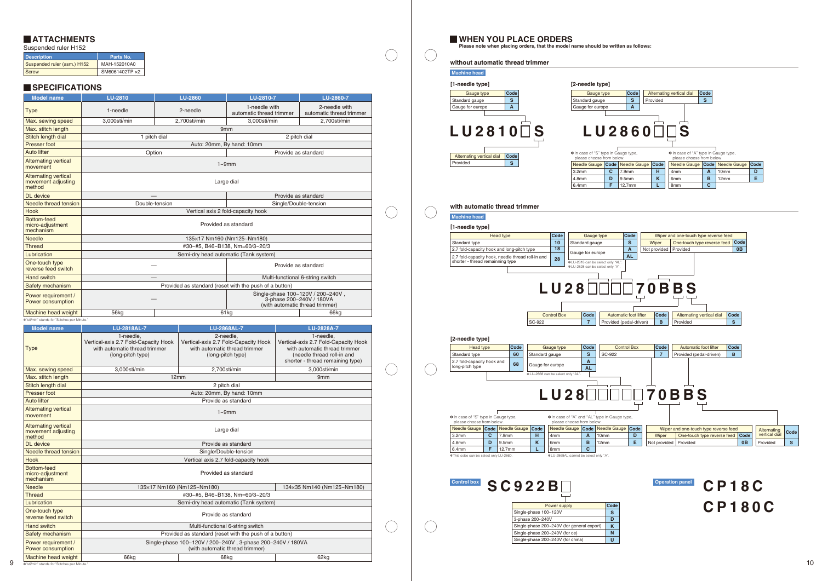| <b>Description</b>          | Parts No.      |
|-----------------------------|----------------|
| Suspended ruler (asm.) H152 | MAH-152010A0   |
| <b>Screw</b>                | SM6061402TP ×2 |

### **SPECIFICATIONS**

Suspended ruler H152

| <b>Model name</b>                                           | <b>LU-2810</b>                                                                                                       | <b>LU-2860</b>             | LU-2810-7                                                                                               | LU-2860-7                                                                                                                                            |  |                                                                                 | $\mathbf{s}$<br>S<br>S<br>Standard gauge<br>Standard gauge<br>Provided                                                                                                                                                                                                                                                                                                 |  |  |  |  |
|-------------------------------------------------------------|----------------------------------------------------------------------------------------------------------------------|----------------------------|---------------------------------------------------------------------------------------------------------|------------------------------------------------------------------------------------------------------------------------------------------------------|--|---------------------------------------------------------------------------------|------------------------------------------------------------------------------------------------------------------------------------------------------------------------------------------------------------------------------------------------------------------------------------------------------------------------------------------------------------------------|--|--|--|--|
| <b>Type</b>                                                 | 1-needle                                                                                                             | 2-needle                   | 1-needle with                                                                                           | 2-needle with                                                                                                                                        |  |                                                                                 | $\mathbf{A}$<br>$\mathsf{A}$<br>Gauge for europe<br>Gauge for europe                                                                                                                                                                                                                                                                                                   |  |  |  |  |
| Max. sewing speed                                           | automatic thread trimmer<br>automatic thread trimmer<br>2,700sti/min<br>2,700sti/min<br>3,000sti/min<br>3,000sti/min |                            |                                                                                                         |                                                                                                                                                      |  |                                                                                 |                                                                                                                                                                                                                                                                                                                                                                        |  |  |  |  |
| Max. stitch length                                          | 9 <sub>mm</sub>                                                                                                      |                            |                                                                                                         |                                                                                                                                                      |  |                                                                                 | $LUI2810$ S<br>$LU2860$ $\Box$ S                                                                                                                                                                                                                                                                                                                                       |  |  |  |  |
| Stitch length dial                                          | 2 pitch dial<br>1 pitch dial                                                                                         |                            |                                                                                                         |                                                                                                                                                      |  |                                                                                 |                                                                                                                                                                                                                                                                                                                                                                        |  |  |  |  |
| Presser foot                                                | Auto: 20mm, By hand: 10mm                                                                                            |                            |                                                                                                         |                                                                                                                                                      |  |                                                                                 |                                                                                                                                                                                                                                                                                                                                                                        |  |  |  |  |
| <b>Auto lifter</b>                                          | Option<br>Provide as standard                                                                                        |                            |                                                                                                         |                                                                                                                                                      |  |                                                                                 | * In case of "A" type in Gauge type,<br>* In case of "S" type in Gauge type,<br>Alternating vertical dial Code                                                                                                                                                                                                                                                         |  |  |  |  |
| <b>Alternating vertical</b><br>movement                     | $1 - 9$ mm                                                                                                           |                            |                                                                                                         |                                                                                                                                                      |  |                                                                                 | please choose from below<br>please choose from below.<br>S<br>Provided<br>Needle Gauge Code Needle Gauge Code<br>Needle Gauge Code Needle Gauge Code                                                                                                                                                                                                                   |  |  |  |  |
| <b>Alternating vertical</b><br>movement adjusting<br>method | Large dial                                                                                                           |                            |                                                                                                         |                                                                                                                                                      |  |                                                                                 | $\mathbf{c}$<br>D<br>3.2 <sub>mm</sub><br>7.9mm<br>H.<br>$\mathsf{A}$   10mm<br>4mm<br>$\mathsf{E}$<br>D<br>$\mathsf{K}$<br>B<br>9.5mm<br>6mm<br>12mm<br>4.8mm<br>$F$ 12.7mm<br>8mm<br>$\mathbf{C}$<br>6.4mm<br>L                                                                                                                                                      |  |  |  |  |
| DL device                                                   |                                                                                                                      |                            |                                                                                                         | Provide as standard                                                                                                                                  |  |                                                                                 |                                                                                                                                                                                                                                                                                                                                                                        |  |  |  |  |
| Needle thread tension                                       |                                                                                                                      | Double-tension             |                                                                                                         | Single/Double-tension                                                                                                                                |  |                                                                                 | with automatic thread trimmer                                                                                                                                                                                                                                                                                                                                          |  |  |  |  |
| <b>Hook</b>                                                 |                                                                                                                      |                            | Vertical axis 2 fold-capacity hook                                                                      |                                                                                                                                                      |  |                                                                                 |                                                                                                                                                                                                                                                                                                                                                                        |  |  |  |  |
| Bottom-feed<br>micro-adjustment<br>mechanism                | Provided as standard                                                                                                 |                            |                                                                                                         |                                                                                                                                                      |  |                                                                                 | <b>Machine head</b><br>[1-needle type]                                                                                                                                                                                                                                                                                                                                 |  |  |  |  |
| <b>Needle</b>                                               |                                                                                                                      |                            | 135×17 Nm160 (Nm125~Nm180)                                                                              |                                                                                                                                                      |  |                                                                                 | Code<br>Code<br>Wiper and one-touch type reverse feed<br>Head type<br>Gauge type                                                                                                                                                                                                                                                                                       |  |  |  |  |
| <b>Thread</b>                                               |                                                                                                                      |                            | #30~#5, B46~B138, Nm=60/3~20/3                                                                          |                                                                                                                                                      |  |                                                                                 | $\mathbf s$<br>10 <sub>1</sub><br>One-touch type reverse feed Code<br>Standard type<br>Standard gauge<br>Wiper                                                                                                                                                                                                                                                         |  |  |  |  |
| Lubrication                                                 |                                                                                                                      |                            | Semi-dry head automatic (Tank system)                                                                   |                                                                                                                                                      |  |                                                                                 | 18<br>$\overline{A}$<br>0B<br>2.7 fold-capacity hook and long-pitch type<br>Not provided   Provided<br>Gauge for europe<br><b>AL</b>                                                                                                                                                                                                                                   |  |  |  |  |
| One-touch type                                              |                                                                                                                      |                            |                                                                                                         |                                                                                                                                                      |  |                                                                                 | 2.7 fold-capacity hook, needle thread roll-in and<br>28<br>shorter - thread remainning type<br>*LU-2818 can be select only "AL"                                                                                                                                                                                                                                        |  |  |  |  |
| reverse feed switch                                         |                                                                                                                      |                            |                                                                                                         | Provide as standard                                                                                                                                  |  |                                                                                 | *LU-2828 can be select only "A".                                                                                                                                                                                                                                                                                                                                       |  |  |  |  |
| Hand switch                                                 | $\overline{\phantom{0}}$                                                                                             |                            |                                                                                                         | Multi-functional 6-string switch                                                                                                                     |  |                                                                                 |                                                                                                                                                                                                                                                                                                                                                                        |  |  |  |  |
| Safety mechanism                                            | Provided as standard (reset with the push of a button)                                                               |                            |                                                                                                         |                                                                                                                                                      |  |                                                                                 | $LU28$ $\Box$ $\Box$ 70BBS                                                                                                                                                                                                                                                                                                                                             |  |  |  |  |
| Power requirement /<br>Power consumption                    | Single-phase 100~120V / 200~240V,<br>3-phase 200~240V / 180VA                                                        |                            |                                                                                                         |                                                                                                                                                      |  |                                                                                 |                                                                                                                                                                                                                                                                                                                                                                        |  |  |  |  |
|                                                             |                                                                                                                      |                            |                                                                                                         | (with automatic thread trimmer)                                                                                                                      |  |                                                                                 |                                                                                                                                                                                                                                                                                                                                                                        |  |  |  |  |
| <b>Machine head weight</b>                                  | 56kg                                                                                                                 |                            | 61kg                                                                                                    | 66kg                                                                                                                                                 |  |                                                                                 | Code<br> Code <br>Alternating vertical dial Code<br><b>Control Box</b><br>Automatic foot lifter                                                                                                                                                                                                                                                                        |  |  |  |  |
| * "sti/min" stands for "Stitches per Minute."               |                                                                                                                      |                            |                                                                                                         |                                                                                                                                                      |  |                                                                                 | $\overline{7}$<br>SC-922<br>Provided (pedal-driven)<br>B<br>Provided<br>S                                                                                                                                                                                                                                                                                              |  |  |  |  |
| <b>Model name</b>                                           | <b>LU-2818AL-7</b>                                                                                                   |                            | LU-2868AL-7                                                                                             | LU-2828A-7                                                                                                                                           |  |                                                                                 |                                                                                                                                                                                                                                                                                                                                                                        |  |  |  |  |
| <b>Type</b>                                                 | 1-needle,<br>Vertical-axis 2.7 Fold-Capacity Hook<br>with automatic thread trimmer<br>(long-pitch type)              |                            | 2-needle,<br>Vertical-axis 2.7 Fold-Capacity Hook<br>with automatic thread trimmer<br>(long-pitch type) | 1-needle,<br>Vertical-axis 2.7 Fold-Capacity Hook<br>with automatic thread trimmer<br>(needle thread roll-in and<br>shorter - thread remaining type) |  |                                                                                 | [2-needle type]<br>Code<br>Code<br>Code<br>Code<br>Automatic foot lifter<br><b>Control Box</b><br>Gauge type<br>Head type<br>60<br>S<br>SC-922<br>7 <sup>1</sup><br>Provided (pedal-driven)<br>Standard type<br>Standard gauge<br>$\overline{B}$<br>$\mathbf{A}$<br>2.7 fold-capacity hook and                                                                         |  |  |  |  |
| Max. sewing speed                                           | 3,000sti/min                                                                                                         |                            | 2,700sti/min                                                                                            | 3,000sti/min                                                                                                                                         |  |                                                                                 | 68<br>Gauge for europe<br>long-pitch type<br><b>AL</b>                                                                                                                                                                                                                                                                                                                 |  |  |  |  |
| Max. stitch length                                          |                                                                                                                      | 12mm                       |                                                                                                         | 9 <sub>mm</sub>                                                                                                                                      |  |                                                                                 | *LU-2868 can be select only "AL"                                                                                                                                                                                                                                                                                                                                       |  |  |  |  |
| Stitch length dial                                          |                                                                                                                      |                            | 2 pitch dial                                                                                            |                                                                                                                                                      |  |                                                                                 |                                                                                                                                                                                                                                                                                                                                                                        |  |  |  |  |
| Presser foot                                                |                                                                                                                      |                            | Auto: 20mm, By hand: 10mm                                                                               |                                                                                                                                                      |  |                                                                                 | LU28                                                                                                                                                                                                                                                                                                                                                                   |  |  |  |  |
| <b>Auto lifter</b>                                          |                                                                                                                      |                            | Provide as standard                                                                                     |                                                                                                                                                      |  |                                                                                 |                                                                                                                                                                                                                                                                                                                                                                        |  |  |  |  |
| <b>Alternating vertical</b><br>movement                     | $1 - 9$ mm                                                                                                           |                            |                                                                                                         |                                                                                                                                                      |  |                                                                                 | * In case of "S" type in Gauge type,<br>* In case of "A" and "AL" type in Gauge type,                                                                                                                                                                                                                                                                                  |  |  |  |  |
| <b>Alternating vertical</b><br>movement adjusting<br>method | Large dial                                                                                                           |                            |                                                                                                         |                                                                                                                                                      |  |                                                                                 | please choose from below<br>please choose from below.<br>Needle Gauge   Code   Needle Gauge   Code  <br>Needle Gauge   Code   Needle Gauge   Code<br>Wiper and one-touch type reverse feed<br>Alternating<br>Code<br>vertical dial<br>$C$ 7.9mm<br>$\mathsf{A}$   10mm<br>D<br>One-touch type reverse feed Code<br>3.2 <sub>mm</sub><br>H.<br>Wiper<br>4 <sub>mm</sub> |  |  |  |  |
| DL device                                                   | Provide as standard                                                                                                  |                            |                                                                                                         |                                                                                                                                                      |  |                                                                                 | K.<br>D<br>E.<br>4.8 <sub>mm</sub><br>9.5mm<br>$B$   12mm<br>0B<br>6mm<br>Not provided   Provided<br>Provided<br>S.                                                                                                                                                                                                                                                    |  |  |  |  |
| Needle thread tension                                       | Single/Double-tension                                                                                                |                            |                                                                                                         |                                                                                                                                                      |  |                                                                                 | $F$ 12.7mm<br>6.4mm<br>L.<br> 8mm<br>$\mathbf{C}$                                                                                                                                                                                                                                                                                                                      |  |  |  |  |
| Hook                                                        | Vertical axis 2.7 fold-capacity hook                                                                                 |                            |                                                                                                         |                                                                                                                                                      |  |                                                                                 | *This cobe can be select only LU-2860.<br>*LU-2868AL cannot be select only "A".                                                                                                                                                                                                                                                                                        |  |  |  |  |
| Bottom-feed<br>micro-adjustment<br>mechanism                |                                                                                                                      |                            | Provided as standard                                                                                    |                                                                                                                                                      |  |                                                                                 |                                                                                                                                                                                                                                                                                                                                                                        |  |  |  |  |
| <b>Needle</b>                                               |                                                                                                                      | 135×17 Nm160 (Nm125~Nm180) |                                                                                                         | 134×35 Nm140 (Nm125~Nm180)                                                                                                                           |  |                                                                                 | <b>Control box</b><br><b>Operation panel</b><br>SC922B<br>CP18C                                                                                                                                                                                                                                                                                                        |  |  |  |  |
| <b>Thread</b>                                               | #30~#5. B46~B138. Nm=60/3~20/3                                                                                       |                            |                                                                                                         |                                                                                                                                                      |  |                                                                                 |                                                                                                                                                                                                                                                                                                                                                                        |  |  |  |  |
| Lubrication                                                 | Semi-dry head automatic (Tank system)                                                                                |                            |                                                                                                         |                                                                                                                                                      |  | Code<br>Power supply                                                            |                                                                                                                                                                                                                                                                                                                                                                        |  |  |  |  |
| One-touch type<br>reverse feed switch                       | Provide as standard                                                                                                  |                            |                                                                                                         |                                                                                                                                                      |  | <b>CP180C</b><br>$\mathbf{s}$<br>Single-phase 100~120V<br>D<br>3-phase 200~240V |                                                                                                                                                                                                                                                                                                                                                                        |  |  |  |  |
| <b>Hand switch</b>                                          | Multi-functional 6-string switch                                                                                     |                            |                                                                                                         |                                                                                                                                                      |  | Single-phase 200~240V (for general export)<br>$\mathsf{K}$                      |                                                                                                                                                                                                                                                                                                                                                                        |  |  |  |  |
| Safety mechanism                                            | Provided as standard (reset with the push of a button)                                                               |                            |                                                                                                         |                                                                                                                                                      |  | N<br>Single-phase 200~240V (for ce)                                             |                                                                                                                                                                                                                                                                                                                                                                        |  |  |  |  |
| Power requirement /<br>Power consumption                    | Single-phase 100~120V / 200~240V, 3-phase 200~240V / 180VA<br>(with automatic thread trimmer)                        |                            |                                                                                                         |                                                                                                                                                      |  |                                                                                 | $\mathbf{U}$<br>Single-phase 200~240V (for china)                                                                                                                                                                                                                                                                                                                      |  |  |  |  |
| Machine head weight                                         | 66kg                                                                                                                 |                            | 68kg                                                                                                    | 62kg                                                                                                                                                 |  |                                                                                 |                                                                                                                                                                                                                                                                                                                                                                        |  |  |  |  |
| * "sti/min" stands for "Stitches per Minute."               |                                                                                                                      |                            |                                                                                                         |                                                                                                                                                      |  |                                                                                 | 10                                                                                                                                                                                                                                                                                                                                                                     |  |  |  |  |



| Gauge type                                                                                                                                                         |   | Code                | Alternating vertical dial |                     | Code |                     |      |  |  |  |
|--------------------------------------------------------------------------------------------------------------------------------------------------------------------|---|---------------------|---------------------------|---------------------|------|---------------------|------|--|--|--|
| Standard gauge                                                                                                                                                     | s | Provided            | s                         |                     |      |                     |      |  |  |  |
| Gauge for europe                                                                                                                                                   | A |                     |                           |                     |      |                     |      |  |  |  |
| $\sqcap$ S<br>LU2860    <br>* In case of "S" type in Gauge type,<br>* In case of "A" type in Gauge type,<br>please choose from below.<br>please choose from below. |   |                     |                           |                     |      |                     |      |  |  |  |
| Needle Gauge   Code                                                                                                                                                |   | <b>Needle Gauge</b> | Code                      | Needle Gauge   Code |      | <b>Needle Gauge</b> | Code |  |  |  |
| 3.2 <sub>mm</sub>                                                                                                                                                  | C | 7.9 <sub>mm</sub>   | н                         | 4 <sub>mm</sub>     | A    | 10 <sub>mm</sub>    | D    |  |  |  |
| 4.8 <sub>mm</sub>                                                                                                                                                  | D | 9.5mm               | K                         | 6 <sub>mm</sub>     | в    | 12mm                | Е    |  |  |  |
| 6.4mm                                                                                                                                                              | F | 12.7 <sub>mm</sub>  |                           | 8 <sub>mm</sub>     | C    |                     |      |  |  |  |

#### **without automatic thread trimmer [1-needle type] [2-needle type]**  $LU2810 \square S$   $LU2$ **ATTACHMENTS WHEN YOU PLACE ORDERS Please note when placing orders, that the model name should be written as follows: with automatic thread trimmer** Provided Alternating vertical dial **Code S** SC-922 Control Box **7 Code** SC-922 Standard gauge Gauge type **S** Gauge for europe **A Code** Standard gauge Gauge type **Gauge for europe Control box SC922B**  $3.2mm$ Needle Gauge **Code** Needle Gauge **Code C** 4.8mm **D** 6.4mm **F** Standard gauge Gauge type **S** Gauge for europe **A AL Code Machine head [2-needle type] Machine head** please choose from below  $3.2<sub>mm</sub>$ Needle Gauge **Code** Needle Gauge **Code C** 7.9mm **H** 4.8mm **D** 6.4mm **F** 9.5mm **K** 12.7mm **L** 4mm Needle Gauge **Code** Needle Gauge **Code A** 10mm **D** 8mm **B** 8mm **C B** 12mm **E** Single-phase 100~120V Power supply **S** 3-phase 200~240V **D** Single-phase 200~240V (for general export) **K** Single-phase 200~240V (for ce) **N** Single-phase 200~240V (for china) **U Code** \* In case of "S" type in Gauge type, please choose from below. ✽ In case of "A" and "AL" type in Gauge type, ✽ please choose from below. ✽LU-2868 can be select only "AL". ✽This cobe can be select only LU-2860. ✽LU-2868AL cannot be select only "A". LU28 000 70BBS Standard gauge Gauge type Gauge for europe **A [1-needle type]** LU-2818 can be select only "AL". ✽ LU-2828 can be select only "A". ✽ Head type **10 18 28 Code** Standard type 2.7 fold-capacity hook and long-pitch type 2.7 fold-capacity hook, needle thread roll-in and shorter - thread remainning type **Head type 60 68 Code** Standard type 2.7 fold-capacity hook and long-pitch type

 $\bigcap$